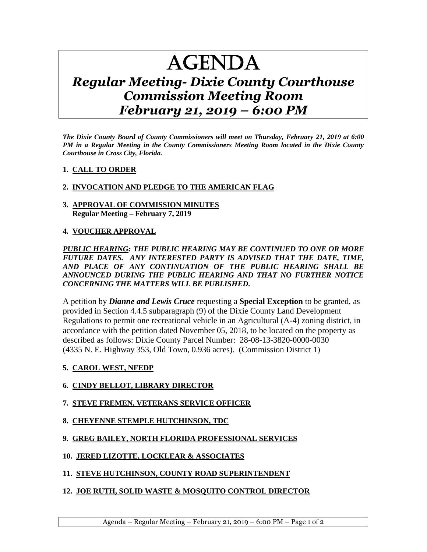# AGENDA

# *Regular Meeting- Dixie County Courthouse Commission Meeting Room February 21, 2019 – 6:00 PM*

*The Dixie County Board of County Commissioners will meet on Thursday, February 21, 2019 at 6:00 PM in a Regular Meeting in the County Commissioners Meeting Room located in the Dixie County Courthouse in Cross City, Florida.*

#### **1. CALL TO ORDER**

### **2. INVOCATION AND PLEDGE TO THE AMERICAN FLAG**

#### **3. APPROVAL OF COMMISSION MINUTES Regular Meeting – February 7, 2019**

#### **4. VOUCHER APPROVAL**

#### *PUBLIC HEARING: THE PUBLIC HEARING MAY BE CONTINUED TO ONE OR MORE FUTURE DATES. ANY INTERESTED PARTY IS ADVISED THAT THE DATE, TIME, AND PLACE OF ANY CONTINUATION OF THE PUBLIC HEARING SHALL BE ANNOUNCED DURING THE PUBLIC HEARING AND THAT NO FURTHER NOTICE CONCERNING THE MATTERS WILL BE PUBLISHED.*

A petition by *Dianne and Lewis Cruce* requesting a **Special Exception** to be granted, as provided in Section 4.4.5 subparagraph (9) of the Dixie County Land Development Regulations to permit one recreational vehicle in an Agricultural (A-4) zoning district, in accordance with the petition dated November 05, 2018, to be located on the property as described as follows: Dixie County Parcel Number: 28-08-13-3820-0000-0030 (4335 N. E. Highway 353, Old Town, 0.936 acres). (Commission District 1)

#### **5. CAROL WEST, NFEDP**

#### **6. CINDY BELLOT, LIBRARY DIRECTOR**

#### **7. STEVE FREMEN, VETERANS SERVICE OFFICER**

#### **8. CHEYENNE STEMPLE HUTCHINSON, TDC**

#### **9. GREG BAILEY, NORTH FLORIDA PROFESSIONAL SERVICES**

# **10. JERED LIZOTTE, LOCKLEAR & ASSOCIATES**

# **11. STEVE HUTCHINSON, COUNTY ROAD SUPERINTENDENT**

# **12. JOE RUTH, SOLID WASTE & MOSQUITO CONTROL DIRECTOR**